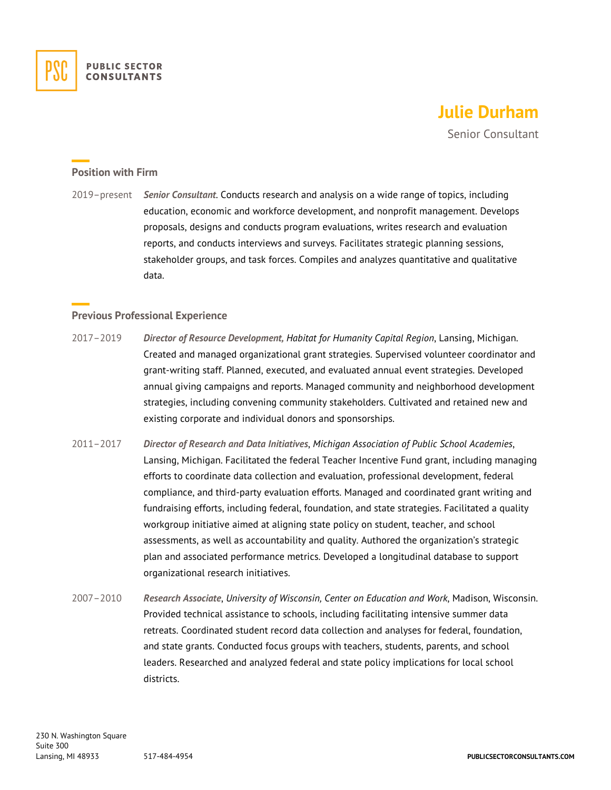

## **Julie Durham**

Senior Consultant

## **Position with Firm**

2019–present *Senior Consultant*. Conducts research and analysis on a wide range of topics, including education, economic and workforce development, and nonprofit management. Develops proposals, designs and conducts program evaluations, writes research and evaluation reports, and conducts interviews and surveys. Facilitates strategic planning sessions, stakeholder groups, and task forces. Compiles and analyzes quantitative and qualitative data.

## **Previous Professional Experience**

- 2017–2019 *Director of Resource Development, Habitat for Humanity Capital Region*, Lansing, Michigan. Created and managed organizational grant strategies. Supervised volunteer coordinator and grant-writing staff. Planned, executed, and evaluated annual event strategies. Developed annual giving campaigns and reports. Managed community and neighborhood development strategies, including convening community stakeholders. Cultivated and retained new and existing corporate and individual donors and sponsorships.
- 2011–2017 *Director of Research and Data Initiatives*, *Michigan Association of Public School Academies*, Lansing, Michigan. Facilitated the federal Teacher Incentive Fund grant, including managing efforts to coordinate data collection and evaluation, professional development, federal compliance, and third-party evaluation efforts. Managed and coordinated grant writing and fundraising efforts, including federal, foundation, and state strategies. Facilitated a quality workgroup initiative aimed at aligning state policy on student, teacher, and school assessments, as well as accountability and quality. Authored the organization's strategic plan and associated performance metrics. Developed a longitudinal database to support organizational research initiatives.
- 2007–2010 *Research Associate*, *University of Wisconsin, Center on Education and Work*, Madison, Wisconsin. Provided technical assistance to schools, including facilitating intensive summer data retreats. Coordinated student record data collection and analyses for federal, foundation, and state grants. Conducted focus groups with teachers, students, parents, and school leaders. Researched and analyzed federal and state policy implications for local school districts.